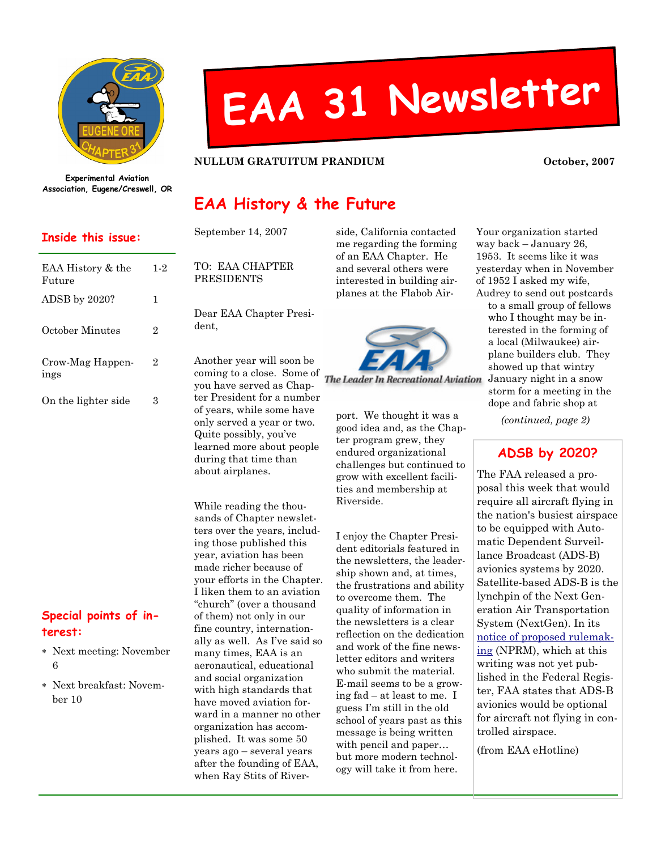

# EAA <sup>31</sup> Newsletter

#### NULLUM GRATUITUM PRANDIUM October, 2007

Experimental Aviation Association, Eugene/Creswell, OR

#### Inside this issue:

| EAA History & the<br>Future | 1-2 |
|-----------------------------|-----|
| ADSB by 2020?               | 1   |
| October Minutes             | 2   |
| Crow-Mag Happen-<br>ings    | 2   |
| On the lighter side         | З   |

### Special points of interest:

- ∗ Next meeting: November 6
- ∗ Next breakfast: November 10

# EAA History & the Future

| September 14, 2007                                                                                                                                                                                                                                                               |
|----------------------------------------------------------------------------------------------------------------------------------------------------------------------------------------------------------------------------------------------------------------------------------|
| TO: EAA CHAPTER<br>PRESIDENTS                                                                                                                                                                                                                                                    |
| Dear EAA Chapter Presi-<br>dent,                                                                                                                                                                                                                                                 |
| Another year will soon be<br>coming to a close. Some of<br>you have served as Chap-<br>ter President for a number<br>of years, while some have<br>only served a year or two.<br>Quite possibly, you've<br>learned more about people<br>during that time than<br>about airplanes. |
| While reading the thou-<br>sands of Chapter newslet-<br>ters over the years, includ-<br>ing those published this                                                                                                                                                                 |

ing those published this year, aviation has been made richer because of your efforts in the Chapter. I liken them to an aviation "church" (over a thousand of them) not only in our fine country, internationally as well. As I've said so many times, EAA is an aeronautical, educational and social organization with high standards that have moved aviation forward in a manner no other organization has accomplished. It was some 50 years ago – several years after the founding of EAA, when Ray Stits of Riverside, California contacted me regarding the forming of an EAA Chapter. He and several others were interested in building airplanes at the Flabob Air-



The Leader In Recreational Aviation

port. We thought it was a good idea and, as the Chapter program grew, they endured organizational challenges but continued to grow with excellent facilities and membership at Riverside.

I enjoy the Chapter President editorials featured in the newsletters, the leadership shown and, at times, the frustrations and ability to overcome them. The quality of information in the newsletters is a clear reflection on the dedication and work of the fine newsletter editors and writers who submit the material. E-mail seems to be a growing fad – at least to me. I guess I'm still in the old school of years past as this message is being written with pencil and paper… but more modern technology will take it from here.

Your organization started way back – January 26, 1953. It seems like it was yesterday when in November of 1952 I asked my wife, Audrey to send out postcards

to a small group of fellows who I thought may be interested in the forming of a local (Milwaukee) airplane builders club. They showed up that wintry January night in a snow storm for a meeting in the dope and fabric shop at

(continued, page 2)

## ADSB by 2020?

The FAA released a proposal this week that would require all aircraft flying in the nation's busiest airspace to be equipped with Automatic Dependent Surveillance Broadcast (ADS-B) avionics systems by 2020. Satellite-based ADS-B is the lynchpin of the Next Generation Air Transportation System (NextGen). In its notice of proposed rulemaking (NPRM), which at this writing was not yet published in the Federal Register, FAA states that ADS-B avionics would be optional for aircraft not flying in controlled airspace.

(from EAA eHotline)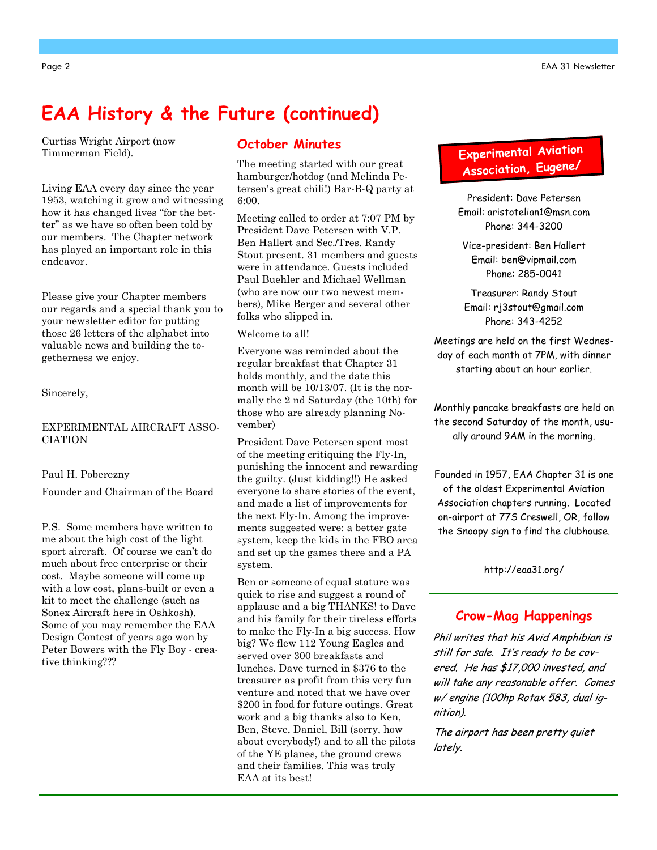# EAA History & the Future (continued)

Curtiss Wright Airport (now Timmerman Field).

Living EAA every day since the year 1953, watching it grow and witnessing how it has changed lives "for the better" as we have so often been told by our members. The Chapter network has played an important role in this endeavor.

Please give your Chapter members our regards and a special thank you to your newsletter editor for putting those 26 letters of the alphabet into valuable news and building the togetherness we enjoy.

Sincerely,

#### EXPERIMENTAL AIRCRAFT ASSO-CIATION

#### Paul H. Poberezny

Founder and Chairman of the Board

P.S. Some members have written to me about the high cost of the light sport aircraft. Of course we can't do much about free enterprise or their cost. Maybe someone will come up with a low cost, plans-built or even a kit to meet the challenge (such as Sonex Aircraft here in Oshkosh). Some of you may remember the EAA Design Contest of years ago won by Peter Bowers with the Fly Boy - creative thinking???

#### October Minutes

The meeting started with our great hamburger/hotdog (and Melinda Petersen's great chili!) Bar-B-Q party at 6:00.

Meeting called to order at 7:07 PM by President Dave Petersen with V.P. Ben Hallert and Sec./Tres. Randy Stout present. 31 members and guests were in attendance. Guests included Paul Buehler and Michael Wellman (who are now our two newest members), Mike Berger and several other folks who slipped in.

Welcome to all!

Everyone was reminded about the regular breakfast that Chapter 31 holds monthly, and the date this month will be 10/13/07. (It is the normally the 2 nd Saturday (the 10th) for those who are already planning November)

President Dave Petersen spent most of the meeting critiquing the Fly-In, punishing the innocent and rewarding the guilty. (Just kidding!!) He asked everyone to share stories of the event, and made a list of improvements for the next Fly-In. Among the improvements suggested were: a better gate system, keep the kids in the FBO area and set up the games there and a PA system.

Ben or someone of equal stature was quick to rise and suggest a round of applause and a big THANKS! to Dave and his family for their tireless efforts to make the Fly-In a big success. How big? We flew 112 Young Eagles and served over 300 breakfasts and lunches. Dave turned in \$376 to the treasurer as profit from this very fun venture and noted that we have over \$200 in food for future outings. Great work and a big thanks also to Ken, Ben, Steve, Daniel, Bill (sorry, how about everybody!) and to all the pilots of the YE planes, the ground crews and their families. This was truly EAA at its best!

## Experimenta<sup>l</sup> Aviation Association, Eugene/

President: Dave Petersen Email: aristotelian1@msn.com Phone: 344-3200

Vice-president: Ben Hallert Email: ben@vipmail.com Phone: 285-0041

Treasurer: Randy Stout Email: rj3stout@gmail.com Phone: 343-4252

Meetings are held on the first Wednesday of each month at 7PM, with dinner starting about an hour earlier.

Monthly pancake breakfasts are held on the second Saturday of the month, usually around 9AM in the morning.

Founded in 1957, EAA Chapter 31 is one of the oldest Experimental Aviation Association chapters running. Located on-airport at 77S Creswell, OR, follow the Snoopy sign to find the clubhouse.

http://eaa31.org/

#### Crow-Mag Happenings

Phil writes that his Avid Amphibian is still for sale. It's ready to be covered. He has \$17,000 invested, and will take any reasonable offer. Comes w/ engine (100hp Rotax 583, dual ignition).

The airport has been pretty quiet lately.